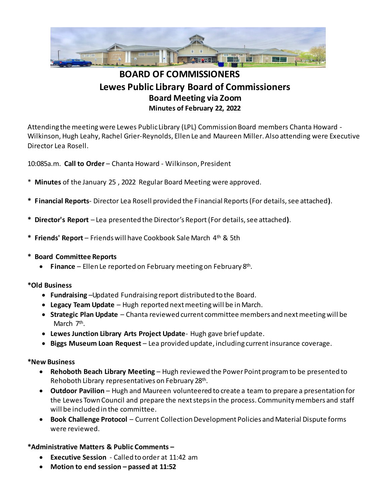

# **BOARD OF COMMISSIONERS Lewes Public Library Board of Commissioners Board Meeting via Zoom Minutes of February 22, 2022**

Attending the meeting were Lewes Public Library (LPL) Commission Board members Chanta Howard - Wilkinson, Hugh Leahy, Rachel Grier-Reynolds, Ellen Le and Maureen Miller. Also attending were Executive Director Lea Rosell.

10:085a.m. **Call to Order** – Chanta Howard - Wilkinson, President

- \* **Minutes** of the January 25 , 2022 Regular Board Meeting were approved.
- **\* Financial Reports** Director Lea Rosell provided the Financial Reports (For details, see attached**)**.
- **\* Director's Report**  Lea presented the Director's Report (For details, see attached**)**.
- **\* Friends' Report** Friends will have Cookbook Sale March 4th & 5th
- **\* Board Committee Reports**
	- **Finance** Ellen Le reported on February meeting on February 8<sup>th</sup>.

#### **\*Old Business**

- **Fundraising** –Updated Fundraising report distributed to the Board.
- **Legacy Team Update** Hugh reported next meeting will be in March.
- **Strategic Plan Update**  Chanta reviewed current committee members and next meeting will be March 7<sup>th</sup>.
- **Lewes Junction Library Arts Project Update** Hugh gave brief update.
- **Biggs Museum Loan Request** Lea provided update, including current insurance coverage.

### **\*New Business**

- **Rehoboth Beach Library Meeting** Hugh reviewed the Power Point program to be presented to Rehoboth Library representatives on February 28<sup>th</sup>.
- **Outdoor Pavilion** Hugh and Maureen volunteered to create a team to prepare a presentation for the Lewes Town Council and prepare the next steps in the process. Community members and staff will be included in the committee.
- **Book Challenge Protocol** Current Collection Development Policies and Material Dispute forms were reviewed.

### **\*Administrative Matters & Public Comments –**

- **Executive Session**  Called to order at 11:42 am
- **Motion to end session – passed at 11:52**